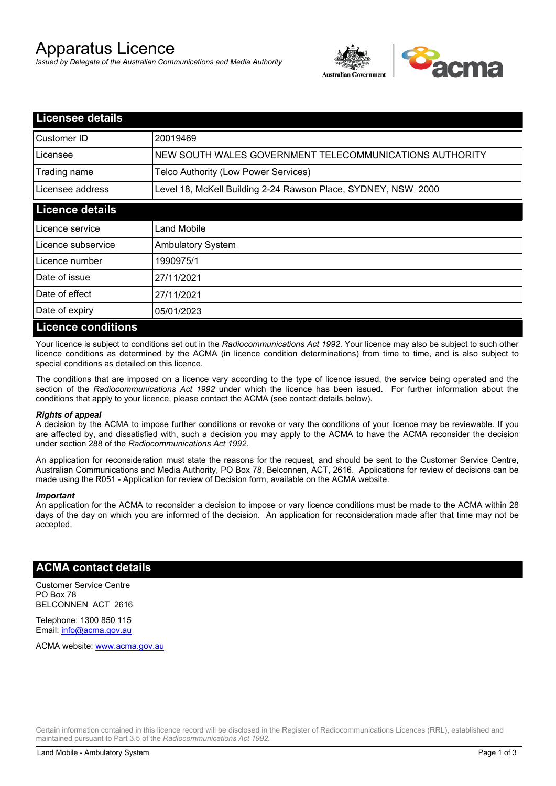# Apparatus Licence

*Issued by Delegate of the Australian Communications and Media Authority*



| <b>Licensee details</b>   |                                                               |
|---------------------------|---------------------------------------------------------------|
| Customer ID               | 20019469                                                      |
| Licensee                  | NEW SOUTH WALES GOVERNMENT TELECOMMUNICATIONS AUTHORITY       |
| Trading name              | Telco Authority (Low Power Services)                          |
| Licensee address          | Level 18, McKell Building 2-24 Rawson Place, SYDNEY, NSW 2000 |
| <b>Licence details</b>    |                                                               |
| l Licence service         | Land Mobile                                                   |
| Licence subservice        | <b>Ambulatory System</b>                                      |
| Licence number            | 1990975/1                                                     |
| Date of issue             | 27/11/2021                                                    |
| Date of effect            | 27/11/2021                                                    |
| Date of expiry            | 05/01/2023                                                    |
| <b>Licence conditions</b> |                                                               |

Your licence is subject to conditions set out in the *Radiocommunications Act 1992*. Your licence may also be subject to such other licence conditions as determined by the ACMA (in licence condition determinations) from time to time, and is also subject to special conditions as detailed on this licence.

The conditions that are imposed on a licence vary according to the type of licence issued, the service being operated and the section of the *Radiocommunications Act 1992* under which the licence has been issued. For further information about the conditions that apply to your licence, please contact the ACMA (see contact details below).

### *Rights of appeal*

A decision by the ACMA to impose further conditions or revoke or vary the conditions of your licence may be reviewable. If you are affected by, and dissatisfied with, such a decision you may apply to the ACMA to have the ACMA reconsider the decision under section 288 of the *Radiocommunications Act 1992*.

An application for reconsideration must state the reasons for the request, and should be sent to the Customer Service Centre, Australian Communications and Media Authority, PO Box 78, Belconnen, ACT, 2616. Applications for review of decisions can be made using the R051 - Application for review of Decision form, available on the ACMA website.

#### *Important*

An application for the ACMA to reconsider a decision to impose or vary licence conditions must be made to the ACMA within 28 days of the day on which you are informed of the decision. An application for reconsideration made after that time may not be accepted.

### **ACMA contact details**

Customer Service Centre PO Box 78 BELCONNEN ACT 2616

Telephone: 1300 850 115 Email: info@acma.gov.au

ACMA website: www.acma.gov.au

Certain information contained in this licence record will be disclosed in the Register of Radiocommunications Licences (RRL), established and maintained pursuant to Part 3.5 of the *Radiocommunications Act 1992.*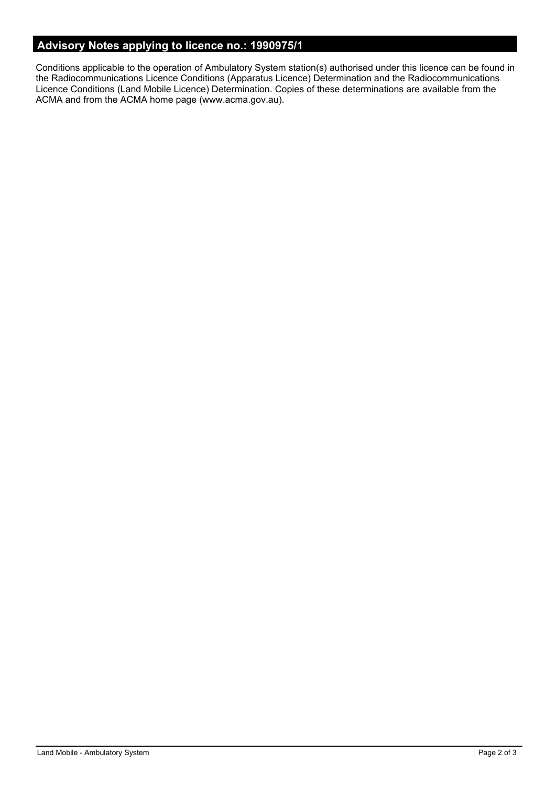# **Advisory Notes applying to licence no.: 1990975/1**

Conditions applicable to the operation of Ambulatory System station(s) authorised under this licence can be found in the Radiocommunications Licence Conditions (Apparatus Licence) Determination and the Radiocommunications Licence Conditions (Land Mobile Licence) Determination. Copies of these determinations are available from the ACMA and from the ACMA home page (www.acma.gov.au).